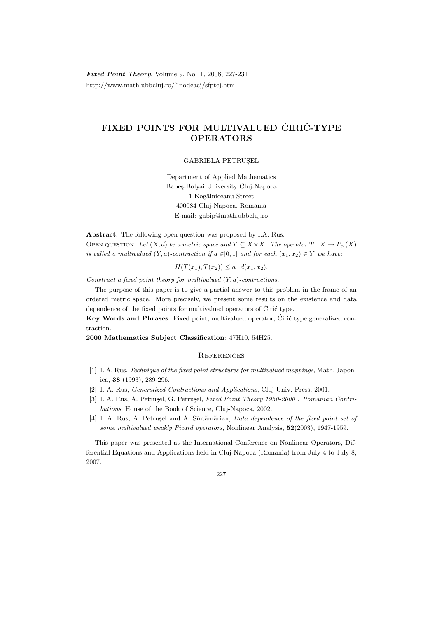Fixed Point Theory, Volume 9, No. 1, 2008, 227-231 http://www.math.ubbcluj.ro/<sup>∼</sup>nodeacj/sfptcj.html

## FIXED POINTS FOR MULTIVALUED CIRIC-TYPE OPERATORS

GABRIELA PETRUSEL

Department of Applied Mathematics Babeş-Bolyai University Cluj-Napoca 1 Kogălniceanu Street 400084 Cluj-Napoca, Romania E-mail: gabip@math.ubbcluj.ro

Abstract. The following open question was proposed by I.A. Rus. OPEN QUESTION. Let  $(X, d)$  be a metric space and  $Y \subseteq X \times X$ . The operator  $T : X \to P_{cl}(X)$ is called a multivalued  $(Y, a)$ -contraction if  $a \in ]0,1]$  and for each  $(x_1, x_2) \in Y$  we have:

 $H(T(x_1), T(x_2)) \leq a \cdot d(x_1, x_2).$ 

Construct a fixed point theory for multivalued  $(Y, a)$ -contractions.

The purpose of this paper is to give a partial answer to this problem in the frame of an ordered metric space. More precisely, we present some results on the existence and data dependence of the fixed points for multivalued operators of  $\acute{C}$ iric type.

Key Words and Phrases: Fixed point, multivalued operator, Ciric type generalized contraction.

2000 Mathematics Subject Classification: 47H10, 54H25.

## **REFERENCES**

- [1] I. A. Rus, Technique of the fixed point structures for multivalued mappings, Math. Japonica, 38 (1993), 289-296.
- [2] I. A. Rus, Generalized Contractions and Applications, Cluj Univ. Press, 2001.
- [3] I. A. Rus, A. Petrusel, G. Petrusel, Fixed Point Theory 1950-2000 : Romanian Contributions, House of the Book of Science, Cluj-Napoca, 2002.
- [4] I. A. Rus, A. Petrușel and A. Sîntămărian, Data dependence of the fixed point set of some multivalued weakly Picard operators, Nonlinear Analysis, 52(2003), 1947-1959.

227

This paper was presented at the International Conference on Nonlinear Operators, Differential Equations and Applications held in Cluj-Napoca (Romania) from July 4 to July 8, 2007.